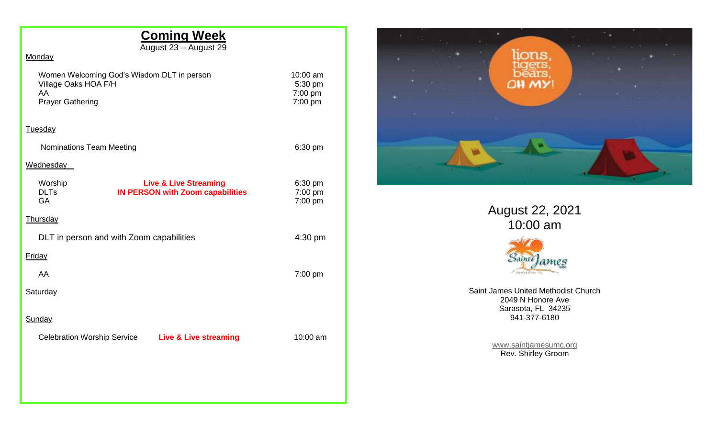# **Coming Week**

August 23 – August 29

## **Monday**

| Women Welcoming God's Wisdom DLT in person<br>Village Oaks HOA F/H<br>AA |  |
|--------------------------------------------------------------------------|--|
| <b>Prayer Gathering</b><br>Tuesdav                                       |  |

Nominations Team Meeting **6:30 pm** 6:30 pm

10:00 am 5:30 pm  $7:00 \text{ pm}$  $7:00 \text{ pm}$ 

#### **Wednesday**

| Worship<br><b>DLTs</b><br><b>GA</b>      | <b>Live &amp; Live Streaming</b><br><b>IN PERSON with Zoom capabilities</b> |                                  | $6:30$ pm<br>7:00 pm<br>7:00 pm |          |
|------------------------------------------|-----------------------------------------------------------------------------|----------------------------------|---------------------------------|----------|
| <b>Thursday</b>                          |                                                                             |                                  |                                 |          |
| DLT in person and with Zoom capabilities |                                                                             |                                  |                                 | 4:30 pm  |
| <b>Friday</b>                            |                                                                             |                                  |                                 |          |
| AA                                       |                                                                             |                                  |                                 | 7:00 pm  |
| <b>Saturday</b>                          |                                                                             |                                  |                                 |          |
| <b>Sunday</b>                            |                                                                             |                                  |                                 |          |
| <b>Celebration Worship Service</b>       |                                                                             | <b>Live &amp; Live streaming</b> |                                 | 10:00 am |
|                                          |                                                                             |                                  |                                 |          |
|                                          |                                                                             |                                  |                                 |          |
|                                          |                                                                             |                                  |                                 |          |



August 22, 2021 10:00 am



Saint James United Methodist Church 2049 N Honore Ave Sarasota, FL 34235 941-377-6180

> [www.saintjamesumc.org](http://www.saintjamesumc.org/) Rev. Shirley Groom